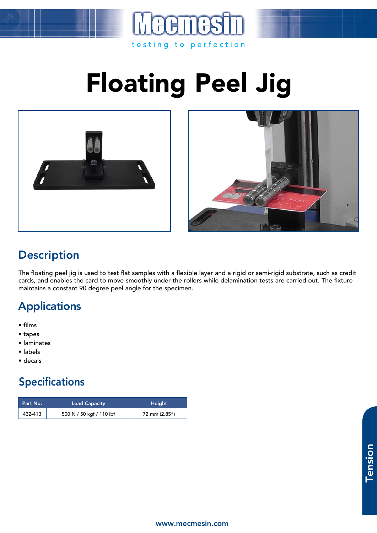

# Floating Peel Jig





#### **Description**

The floating peel jig is used to test flat samples with a flexible layer and a rigid or semi-rigid substrate, such as credit cards, and enables the card to move smoothly under the rollers while delamination tests are carried out. The fixture maintains a constant 90 degree peel angle for the specimen.

## Applications

- films
- tapes
- laminates
- labels
- decals

## Specifications

| Part No. | <b>Load Capacity</b>     | Height        |
|----------|--------------------------|---------------|
| 432-413  | 500 N / 50 kgf / 110 lbf | 72 mm (2.85") |